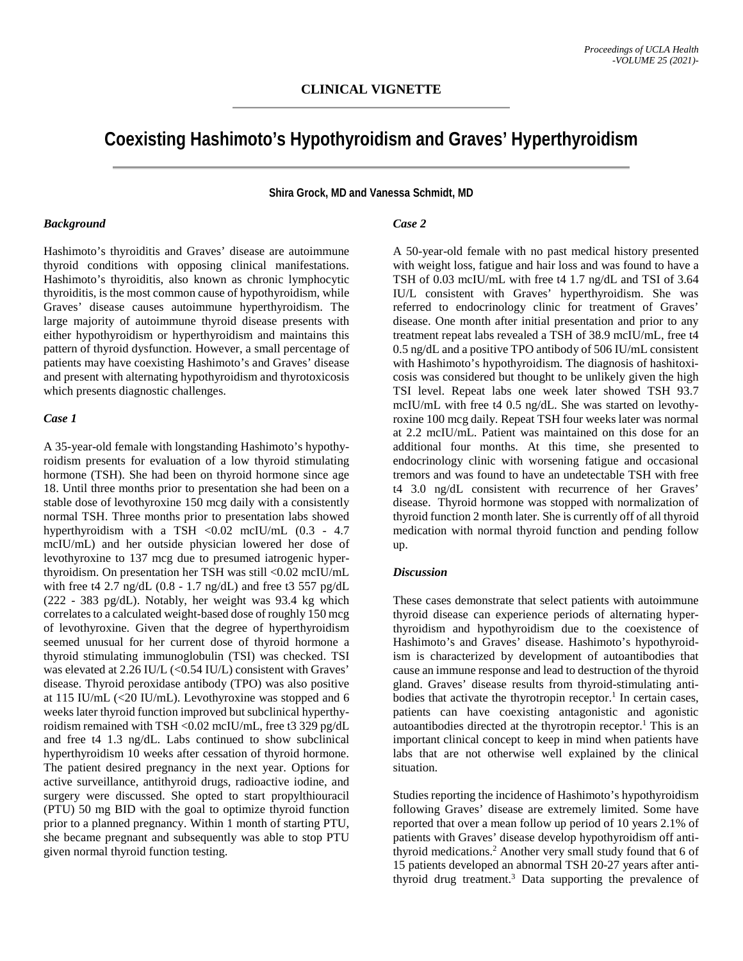# **Coexisting Hashimoto's Hypothyroidism and Graves' Hyperthyroidism**

**Shira Grock, MD and Vanessa Schmidt, MD**

### *Background*

Hashimoto's thyroiditis and Graves' disease are autoimmune thyroid conditions with opposing clinical manifestations. Hashimoto's thyroiditis, also known as chronic lymphocytic thyroiditis, is the most common cause of hypothyroidism, while Graves' disease causes autoimmune hyperthyroidism. The large majority of autoimmune thyroid disease presents with either hypothyroidism or hyperthyroidism and maintains this pattern of thyroid dysfunction. However, a small percentage of patients may have coexisting Hashimoto's and Graves' disease and present with alternating hypothyroidism and thyrotoxicosis which presents diagnostic challenges.

#### *Case 1*

A 35-year-old female with longstanding Hashimoto's hypothyroidism presents for evaluation of a low thyroid stimulating hormone (TSH). She had been on thyroid hormone since age 18. Until three months prior to presentation she had been on a stable dose of levothyroxine 150 mcg daily with a consistently normal TSH. Three months prior to presentation labs showed hyperthyroidism with a TSH <0.02 mcIU/mL (0.3 - 4.7 mcIU/mL) and her outside physician lowered her dose of levothyroxine to 137 mcg due to presumed iatrogenic hyperthyroidism. On presentation her TSH was still <0.02 mcIU/mL with free t4 2.7 ng/dL  $(0.8 - 1.7 \text{ ng/dL})$  and free t3 557 pg/dL (222 - 383 pg/dL). Notably, her weight was 93.4 kg which correlates to a calculated weight-based dose of roughly 150 mcg of levothyroxine. Given that the degree of hyperthyroidism seemed unusual for her current dose of thyroid hormone a thyroid stimulating immunoglobulin (TSI) was checked. TSI was elevated at 2.26 IU/L (<0.54 IU/L) consistent with Graves' disease. Thyroid peroxidase antibody (TPO) was also positive at 115 IU/mL (<20 IU/mL). Levothyroxine was stopped and 6 weeks later thyroid function improved but subclinical hyperthyroidism remained with TSH <0.02 mcIU/mL, free t3 329 pg/dL and free t4 1.3 ng/dL. Labs continued to show subclinical hyperthyroidism 10 weeks after cessation of thyroid hormone. The patient desired pregnancy in the next year. Options for active surveillance, antithyroid drugs, radioactive iodine, and surgery were discussed. She opted to start propylthiouracil (PTU) 50 mg BID with the goal to optimize thyroid function prior to a planned pregnancy. Within 1 month of starting PTU, she became pregnant and subsequently was able to stop PTU given normal thyroid function testing.

## *Case 2*

A 50-year-old female with no past medical history presented with weight loss, fatigue and hair loss and was found to have a TSH of 0.03 mcIU/mL with free t4 1.7 ng/dL and TSI of 3.64 IU/L consistent with Graves' hyperthyroidism. She was referred to endocrinology clinic for treatment of Graves' disease. One month after initial presentation and prior to any treatment repeat labs revealed a TSH of 38.9 mcIU/mL, free t4 0.5 ng/dL and a positive TPO antibody of 506 IU/mL consistent with Hashimoto's hypothyroidism. The diagnosis of hashitoxicosis was considered but thought to be unlikely given the high TSI level. Repeat labs one week later showed TSH 93.7 mcIU/mL with free t4 0.5 ng/dL. She was started on levothyroxine 100 mcg daily. Repeat TSH four weeks later was normal at 2.2 mcIU/mL. Patient was maintained on this dose for an additional four months. At this time, she presented to endocrinology clinic with worsening fatigue and occasional tremors and was found to have an undetectable TSH with free t4 3.0 ng/dL consistent with recurrence of her Graves' disease. Thyroid hormone was stopped with normalization of thyroid function 2 month later. She is currently off of all thyroid medication with normal thyroid function and pending follow up.

## *Discussion*

These cases demonstrate that select patients with autoimmune thyroid disease can experience periods of alternating hyperthyroidism and hypothyroidism due to the coexistence of Hashimoto's and Graves' disease. Hashimoto's hypothyroidism is characterized by development of autoantibodies that cause an immune response and lead to destruction of the thyroid gland. Graves' disease results from thyroid-stimulating antibodies that activate the thyrotropin receptor.<sup>1</sup> In certain cases, patients can have coexisting antagonistic and agonistic autoantibodies directed at the thyrotropin receptor.<sup>1</sup> This is an important clinical concept to keep in mind when patients have labs that are not otherwise well explained by the clinical situation.

Studies reporting the incidence of Hashimoto's hypothyroidism following Graves' disease are extremely limited. Some have reported that over a mean follow up period of 10 years 2.1% of patients with Graves' disease develop hypothyroidism off antithyroid medications.2 Another very small study found that 6 of 15 patients developed an abnormal TSH 20-27 years after antithyroid drug treatment.3 Data supporting the prevalence of